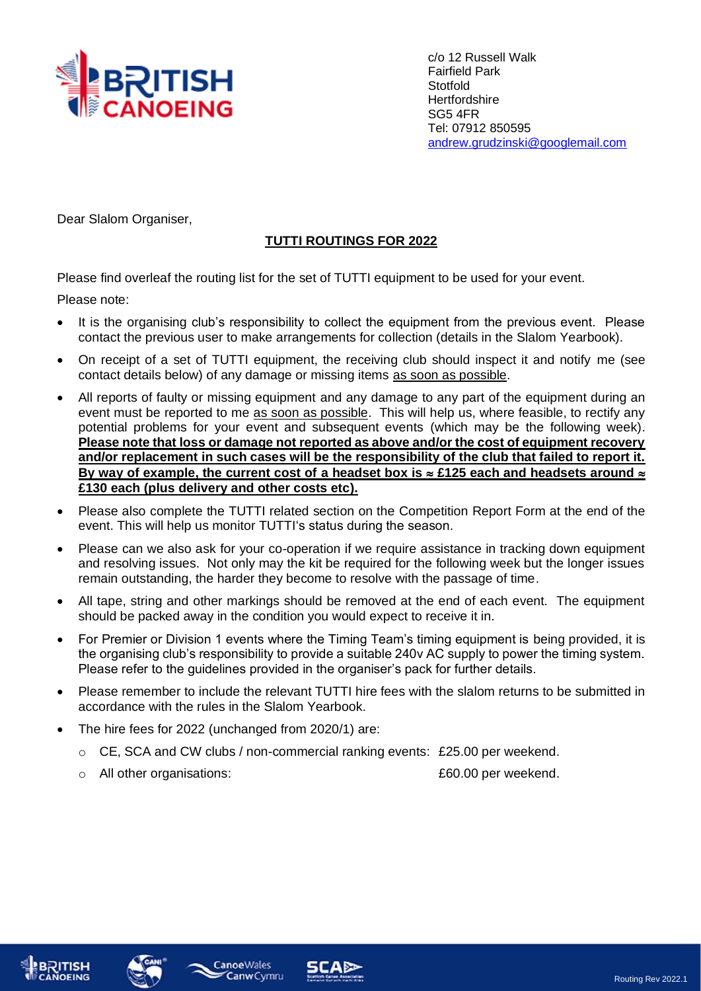

c/o 12 Russell Walk Fairfield Park Stotfold **Hertfordshire** SG5 4FR Tel: 07912 850595 [andrew.grudzinski@googlemail.com](mailto:andrew.grudzinski@googlemail.com)

Dear Slalom Organiser,

## **TUTTI ROUTINGS FOR 2022**

Please find overleaf the routing list for the set of TUTTI equipment to be used for your event.

Please note:

- It is the organising club's responsibility to collect the equipment from the previous event. Please contact the previous user to make arrangements for collection (details in the Slalom Yearbook).
- On receipt of a set of TUTTI equipment, the receiving club should inspect it and notify me (see contact details below) of any damage or missing items as soon as possible.
- All reports of faulty or missing equipment and any damage to any part of the equipment during an event must be reported to me as soon as possible. This will help us, where feasible, to rectify any potential problems for your event and subsequent events (which may be the following week). **Please note that loss or damage not reported as above and/or the cost of equipment recovery and/or replacement in such cases will be the responsibility of the club that failed to report it.**  By way of example, the current cost of a headset box is  $\approx$  £125 each and headsets around  $\approx$ **£130 each (plus delivery and other costs etc).**
- Please also complete the TUTTI related section on the Competition Report Form at the end of the event. This will help us monitor TUTTI's status during the season.
- Please can we also ask for your co-operation if we require assistance in tracking down equipment and resolving issues. Not only may the kit be required for the following week but the longer issues remain outstanding, the harder they become to resolve with the passage of time.
- All tape, string and other markings should be removed at the end of each event. The equipment should be packed away in the condition you would expect to receive it in.
- For Premier or Division 1 events where the Timing Team's timing equipment is being provided, it is the organising club's responsibility to provide a suitable 240v AC supply to power the timing system. Please refer to the guidelines provided in the organiser's pack for further details.
- Please remember to include the relevant TUTTI hire fees with the slalom returns to be submitted in accordance with the rules in the Slalom Yearbook.
- The hire fees for 2022 (unchanged from 2020/1) are:
	- o CE, SCA and CW clubs / non-commercial ranking events: £25.00 per weekend.
	- o All other organisations: £60.00 per weekend.